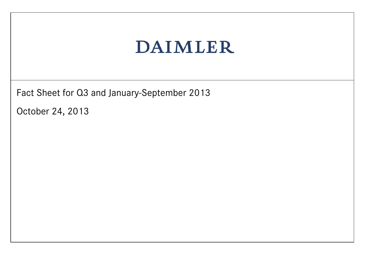Fact Sheet for Q3 and January-September 2013

October 24, 2013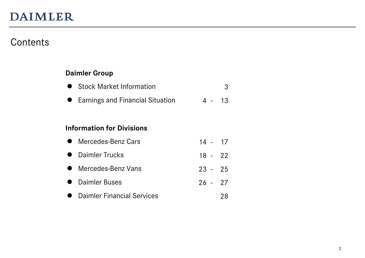### Contents

#### **Daimler Group**

| <b>Stock Market Information</b> |  |
|---------------------------------|--|
|---------------------------------|--|

Earnings and Financial Situation 4 - 13

#### **Information for Divisions**

| • Mercedes-Benz Cars         | $14 - 17$ |    |
|------------------------------|-----------|----|
| • Daimler Trucks             | $18 - 22$ |    |
| • Mercedes-Benz Vans         | $23 - 25$ |    |
| • Daimler Buses              | $26 - 27$ |    |
| • Daimler Financial Services |           | 28 |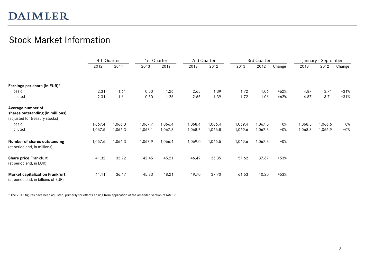### Stock Market Information

|                                                                               | 4th Quarter |         |         | 1st Quarter | 2nd Quarter |         |         | 3rd Quarter |        |         | January - September |        |
|-------------------------------------------------------------------------------|-------------|---------|---------|-------------|-------------|---------|---------|-------------|--------|---------|---------------------|--------|
|                                                                               | 2012        | 2011    | 2013    | 2012        | 2013        | 2012    | 2013    | 2012        | Change | 2013    | 2012                | Change |
| Earnings per share (in EUR)*                                                  |             |         |         |             |             |         |         |             |        |         |                     |        |
| basic                                                                         | 2.31        | 1.61    | 0.50    | 1.26        | 2.65        | 1.39    | 1.72    | 1.06        | $+62%$ | 4.87    | 3.71                | $+31%$ |
| diluted                                                                       | 2.31        | 1.61    | 0.50    | 1.26        | 2.65        | 1.39    | 1.72    | 1.06        | $+62%$ | 4.87    | 3.71                | $+31%$ |
| Average number of                                                             |             |         |         |             |             |         |         |             |        |         |                     |        |
| shares outstanding (in millions)                                              |             |         |         |             |             |         |         |             |        |         |                     |        |
| (adjusted for treasury stocks)                                                |             |         |         |             |             |         |         |             |        |         |                     |        |
| basic                                                                         | 1,067.4     | 1,066.3 | 1,067.7 | 1,066.4     | 1,068.4     | 1,066.4 | 1,069.4 | 1,067.0     | $+0\%$ | 1,068.5 | 1,066.6             | $+0\%$ |
| diluted                                                                       | 1,067.5     | 1,066.3 | 1,068.1 | 1,067.3     | 1,068.7     | 1,066.8 | 1,069.6 | 1,067.3     | $+0\%$ | 1,068.8 | 1,066.9             | $+0\%$ |
| Number of shares outstanding<br>(at period end, in millions)                  | 1,067.6     | 1,066.3 | 1,067.9 | 1,066.4     | 1,069.0     | 1,066.5 | 1,069.6 | 1,067.3     | $+0\%$ |         |                     |        |
| <b>Share price Frankfurt</b><br>(at period end, in EUR)                       | 41.32       | 33.92   | 42.45   | 45.21       | 46.49       | 35.35   | 57.62   | 37.67       | $+53%$ |         |                     |        |
| <b>Market capitalization Frankfurt</b><br>(at period end, in billions of EUR) | 44.11       | 36.17   | 45.33   | 48.21       | 49.70       | 37.70   | 61.63   | 40.20       | $+53%$ |         |                     |        |

\* The 2012 figures have been adjusted, primarily for effects arising from application of the amended version of IAS 19.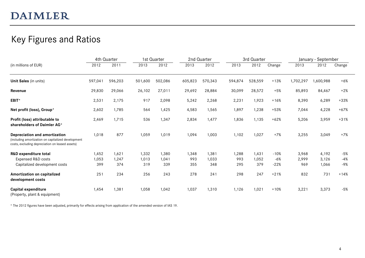### Key Figures and Ratios

| (in millions of EUR)                                                                                                                   |         | 4th Quarter |         | 1st Quarter |         | 2nd Quarter |         | 3rd Quarter |        |           | January - September |        |
|----------------------------------------------------------------------------------------------------------------------------------------|---------|-------------|---------|-------------|---------|-------------|---------|-------------|--------|-----------|---------------------|--------|
|                                                                                                                                        | 2012    | 2011        | 2013    | 2012        | 2013    | 2012        | 2013    | 2012        | Change | 2013      | 2012                | Change |
| Unit Sales (in units)                                                                                                                  | 597,041 | 596,203     | 501,600 | 502,086     | 605,823 | 570,343     | 594,874 | 528,559     | $+13%$ | 1,702,297 | ,600,988            | $+6%$  |
| Revenue                                                                                                                                | 29,830  | 29,066      | 26,102  | 27,011      | 29,692  | 28,884      | 30,099  | 28,572      | $+5%$  | 85,893    | 84,467              | $+2%$  |
| EBIT*                                                                                                                                  | 2,531   | 2,175       | 917     | 2,098       | 5,242   | 2,268       | 2,231   | 1,923       | $+16%$ | 8,390     | 6,289               | $+33%$ |
| Net profit (loss), Group*                                                                                                              | 2,602   | 1.785       | 564     | 1,425       | 4,583   | 1,565       | 1,897   | 1,238       | $+53%$ | 7,044     | 4,228               | $+67%$ |
| Profit (loss) attributable to<br>shareholders of Daimler AG*                                                                           | 2,469   | 1,715       | 536     | 1,347       | 2,834   | 1,477       | 1,836   | 1,135       | $+62%$ | 5,206     | 3,959               | $+31%$ |
| Depreciation and amortization<br>(including amortization on capitalized development<br>costs, excluding depreciation on leased assets) | 1,018   | 877         | 1,059   | 1,019       | 1,094   | 1,003       | 1,102   | 1,027       | $+7%$  | 3,255     | 3,049               | $+7%$  |
| <b>R&amp;D expenditure total</b>                                                                                                       | 1,452   | 1,621       | 1,332   | 1,380       | 1,348   | 1,381       | 1,288   | 1,431       | $-10%$ | 3,968     | 4,192               | $-5%$  |
| Expensed R&D costs                                                                                                                     | 1,053   | 1,247       | 1,013   | 1.041       | 993     | 1.033       | 993     | 1.052       | $-6%$  | 2,999     | 3,126               | $-4%$  |
| Capitalized development costs                                                                                                          | 399     | 374         | 319     | 339         | 355     | 348         | 295     | 379         | $-22%$ | 969       | 1,066               | -9%    |
| Amortization on capitalized<br>development costs                                                                                       | 251     | 234         | 256     | 243         | 278     | 241         | 298     | 247         | $+21%$ | 832       | 731                 | $+14%$ |
| Capital expenditure<br>(Property, plant & equipment)                                                                                   | 1,454   | 1,381       | 1,058   | 1,042       | 1,037   | 1,310       | 1,126   | 1,021       | $+10%$ | 3,221     | 3,373               | $-5%$  |

\* The 2012 figures have been adjusted, primarily for effects arising from application of the amended version of IAS 19.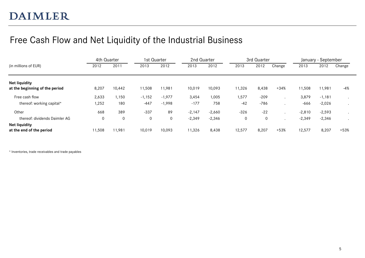### Free Cash Flow and Net Liquidity of the Industrial Business

|                                                        | 4th Quarter |        |             | 1st Quarter | 2nd Quarter |          |             | 3rd Quarter |        |          | January - September |         |
|--------------------------------------------------------|-------------|--------|-------------|-------------|-------------|----------|-------------|-------------|--------|----------|---------------------|---------|
| (in millions of EUR)                                   | 2012        | 2011   | 2013        | 2012        | 2013        | 2012     | 2013        | 2012        | Change | 2013     | 2012                | Change  |
| <b>Net liquidity</b><br>at the beginning of the period | 8,207       | 10,442 | 11,508      | 11,981      | 10,019      | 10,093   | 11,326      | 8,438       | $+34%$ | 11,508   | 11,981              | -4%     |
| Free cash flow                                         | 2,633       | 1,150  | $-1,152$    | $-1,977$    | 3,454       | 1,005    | 1,577       | $-209$      |        | 3,879    | $-1,181$            |         |
| thereof: working capital*                              | 1,252       | 180    | $-447$      | $-1,998$    | $-177$      | 758      | $-42$       | -786        |        | $-666$   | $-2,026$            |         |
| Other                                                  | 668         | 389    | $-337$      | 89          | $-2,147$    | $-2,660$ | $-326$      | $-22$       |        | $-2,810$ | $-2,593$            | $\cdot$ |
| thereof: dividends Daimler AG                          | 0           | 0      | $\mathbf 0$ | 0           | $-2,349$    | $-2,346$ | $\mathbf 0$ | 0           |        | $-2,349$ | $-2,346$            |         |
| <b>Net liquidity</b><br>at the end of the period       | 11,508      | 11,981 | 10,019      | 10,093      | 11,326      | 8,438    | 12,577      | 8,207       | $+53%$ | 12,577   | 8,207               | $+53%$  |

\* Inventories, trade receivables and trade payables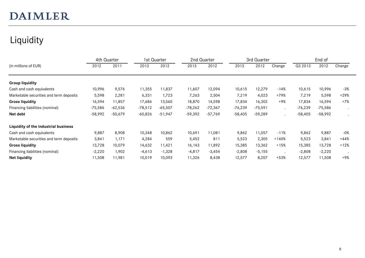# Liquidity

|                                         | 4th Quarter |           |           | 1st Quarter | 2nd Quarter |           |           | 3rd Quarter |                      |           | End of    |        |
|-----------------------------------------|-------------|-----------|-----------|-------------|-------------|-----------|-----------|-------------|----------------------|-----------|-----------|--------|
| (in millions of EUR)                    | 2012        | 2011      | 2013      | 2012        | 2013        | 2012      | 2013      | 2012        | Change               | Q3 2013   | 2012      | Change |
| <b>Group liquidity</b>                  |             |           |           |             |             |           |           |             |                      |           |           |        |
| Cash and cash equivalents               | 10,996      | 9,576     | 11,355    | 11,837      | 11,607      | 12,094    | 10,615    | 12,279      | $-14%$               | 10,615    | 10,996    | $-3%$  |
| Marketable securities and term deposits | 5,598       | 2,281     | 6,331     | 1,723       | 7,263       | 2,504     | 7,219     | 4,023       | +79%                 | 7,219     | 5,598     | $+29%$ |
| <b>Gross liquidity</b>                  | 16,594      | 11,857    | 17,686    | 13,560      | 18,870      | 14,598    | 17,834    | 16,302      | $+9%$                | 17,834    | 16,594    | $+7%$  |
| Financing liabilities (nominal)         | -75,586     | -62,536   | $-78,512$ | $-65,507$   | $-78,262$   | $-72,367$ | $-76,239$ | $-75,591$   | $\ddot{\phantom{0}}$ | $-76,239$ | -75,586   |        |
| Net debt                                | $-58,992$   | $-50,679$ | $-60,826$ | $-51,947$   | $-59,392$   | $-57,769$ | $-58,405$ | $-59,289$   | $\ddot{\phantom{0}}$ | $-58,405$ | $-58,992$ |        |
| Liquidity of the industrial business    |             |           |           |             |             |           |           |             |                      |           |           |        |
| Cash and cash equivalents               | 9,887       | 8,908     | 10,348    | 10,862      | 10,691      | 11,081    | 9,862     | 11,057      | $-11%$               | 9,862     | 9,887     | $-0%$  |
| Marketable securities and term deposits | 3,841       | 1,171     | 4,284     | 559         | 5,452       | 811       | 5,523     | 2,305       | $+140%$              | 5,523     | 3,841     | $+44%$ |
| <b>Gross liquidity</b>                  | 13,728      | 10,079    | 14,632    | 11,421      | 16,143      | 11,892    | 15,385    | 13,362      | $+15%$               | 15,385    | 13,728    | $+12%$ |
| Financing liabilities (nominal)         | $-2,220$    | 1,902     | $-4,613$  | $-1,328$    | $-4, 817$   | $-3,454$  | $-2,808$  | $-5,155$    |                      | $-2,808$  | $-2,220$  |        |
| <b>Net liquidity</b>                    | 11,508      | 11,981    | 10,019    | 10,093      | 11,326      | 8,438     | 12,577    | 8,207       | $+53%$               | 12,577    | 11,508    | $+9%$  |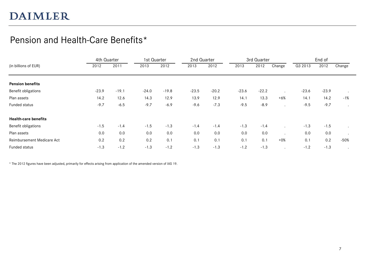### Pension and Health-Care Benefits\*

|                             |         | 4th Quarter |         | 1st Quarter | 2nd Quarter |         |         | 3rd Quarter |        |         | End of  |         |
|-----------------------------|---------|-------------|---------|-------------|-------------|---------|---------|-------------|--------|---------|---------|---------|
| (in billions of EUR)        | 2012    | 2011        | 2013    | 2012        | 2013        | 2012    | 2013    | 2012        | Change | Q3 2013 | 2012    | Change  |
|                             |         |             |         |             |             |         |         |             |        |         |         |         |
| <b>Pension benefits</b>     |         |             |         |             |             |         |         |             |        |         |         |         |
| Benefit obligations         | $-23.9$ | $-19.1$     | $-24.0$ | $-19.8$     | $-23.5$     | $-20.2$ | $-23.6$ | $-22.2$     |        | $-23.6$ | $-23.9$ | $\cdot$ |
| Plan assets                 | 14.2    | 12.6        | 14.3    | 12.9        | 13.9        | 12.9    | 14.1    | 13.3        | $+6%$  | 14.1    | 14.2    | $-1%$   |
| Funded status               | $-9.7$  | $-6.5$      | $-9.7$  | $-6.9$      | $-9.6$      | $-7.3$  | $-9.5$  | $-8.9$      |        | $-9.5$  | $-9.7$  | $\cdot$ |
| <b>Health-care benefits</b> |         |             |         |             |             |         |         |             |        |         |         |         |
| Benefit obligations         | $-1.5$  | $-1.4$      | $-1.5$  | $-1.3$      | $-1.4$      | $-1.4$  | $-1.3$  | $-1.4$      |        | $-1.3$  | $-1.5$  |         |
| Plan assets                 | 0.0     | 0.0         | 0.0     | 0.0         | 0.0         | 0.0     | 0.0     | 0.0         |        | 0.0     | 0.0     |         |
| Reimbursement Medicare Act  | 0.2     | 0.2         | 0.2     | 0.1         | 0.1         | 0.1     | 0.1     | 0.1         | $+0\%$ | 0.1     | 0.2     | $-50%$  |
| Funded status               | $-1.3$  | $-1.2$      | $-1.3$  | $-1.2$      | $-1.3$      | $-1.3$  | $-1.2$  | $-1.3$      |        | $-1.2$  | $-1.3$  |         |

\* The 2012 figures have been adjusted, primarily for effects arising from application of the amended version of IAS 19.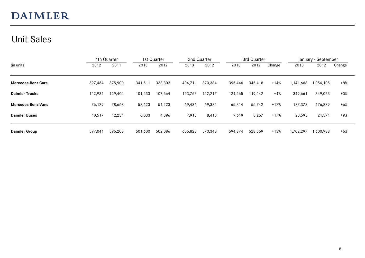### Unit Sales

|                           | 4th Quarter |         |         | 1st Quarter |         | 2nd Quarter |         | 3rd Quarter |        |           | January - September |        |
|---------------------------|-------------|---------|---------|-------------|---------|-------------|---------|-------------|--------|-----------|---------------------|--------|
| (in units)                | 2012        | 2011    | 2013    | 2012        | 2013    | 2012        | 2013    | 2012        | Change | 2013      | 2012                | Change |
|                           |             |         |         |             |         |             |         |             |        |           |                     |        |
| <b>Mercedes-Benz Cars</b> | 397,464     | 375,900 | 341,511 | 338,303     | 404,711 | 370,384     | 395,446 | 345,418     | $+14%$ | 1,141,668 | 1,054,105           | $+8%$  |
| <b>Daimler Trucks</b>     | 112,931     | 129,404 | 101,433 | 107,664     | 123,763 | 122,217     | 124,465 | 119,142     | $+4%$  | 349,661   | 349,023             | $+0\%$ |
| <b>Mercedes-Benz Vans</b> | 76,129      | 78,668  | 52,623  | 51,223      | 69,436  | 69,324      | 65,314  | 55,742      | $+17%$ | 187,373   | 176,289             | $+6%$  |
| <b>Daimler Buses</b>      | 10,517      | 12,231  | 6,033   | 4,896       | 7,913   | 8,418       | 9,649   | 8,257       | $+17%$ | 23,595    | 21,571              | +9%    |
| <b>Daimler Group</b>      | 597,041     | 596,203 | 501,600 | 502,086     | 605,823 | 570,343     | 594,874 | 528,559     | $+13%$ | 1,702,297 | 1,600,988           | $+6%$  |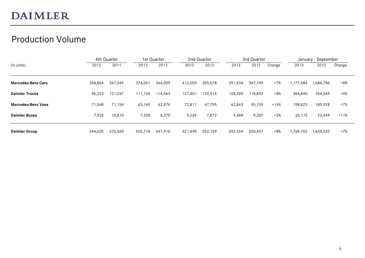### Production Volume

|                           |         | 4th Quarter |         | 1st Quarter |         | 2nd Quarter |         | 3rd Quarter |        |           | January - September |        |
|---------------------------|---------|-------------|---------|-------------|---------|-------------|---------|-------------|--------|-----------|---------------------|--------|
| (in units)                | 2012    | 2011        | 2013    | 2012        | 2013    | 2012        | 2013    | 2012        | Change | 2013      | 2012                | Change |
| <b>Mercedes-Benz Cars</b> | 368,864 | 367,049     | 374,041 | 364,009     | 412,009 | 355,578     | 391,934 | 367.199     | $+7%$  | 1,177,984 | 1,086,786           | $+8%$  |
| <b>Daimler Trucks</b>     | 96,253  | 121,547     | 111,150 | 114,563     | 127,401 | 120,914     | 128,289 | 118,892     | $+8%$  | 366,840   | 354,369             | +4%    |
| <b>Mercedes-Benz Vans</b> | 71,568  | 71,154      | 63,169  | 62,974      | 72,811  | 67,795      | 62,843  | 55,159      | $+14%$ | 198,823   | 185,928             | $+7%$  |
| <b>Daimler Buses</b>      | 7,935   | 10,810      | 7,358   | 6,370       | 9,269   | 7,872       | 9,488   | 9,207       | $+3%$  | 26,115    | 23,449              | $+11%$ |
| <b>Daimler Group</b>      | 544,620 | 570,560     | 555,718 | 547,916     | 621,490 | 552,159     | 592,554 | 550,457     | $+8%$  | 1,769,762 | 1,650,532           | $+7%$  |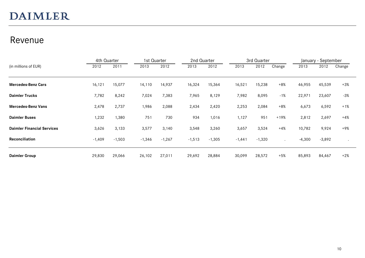#### Revenue

| (in millions of EUR)              | 4th Quarter |          | 1st Quarter |          | 2nd Quarter |          |          | 3rd Quarter |                      |          | January - September |        |
|-----------------------------------|-------------|----------|-------------|----------|-------------|----------|----------|-------------|----------------------|----------|---------------------|--------|
|                                   | 2012        | 2011     | 2013        | 2012     | 2013        | 2012     | 2013     | 2012        | Change               | 2013     | 2012                | Change |
|                                   |             |          |             |          |             |          |          |             |                      |          |                     |        |
| <b>Mercedes-Benz Cars</b>         | 16, 121     | 15,077   | 14,110      | 14,937   | 16,324      | 15,364   | 16,521   | 15,238      | $+8%$                | 46,955   | 45,539              | $+3\%$ |
| <b>Daimler Trucks</b>             | 7,782       | 8,242    | 7,024       | 7,383    | 7,965       | 8,129    | 7,982    | 8,095       | $-1%$                | 22,971   | 23,607              | $-3%$  |
| <b>Mercedes-Benz Vans</b>         | 2,478       | 2,737    | 1,986       | 2,088    | 2,434       | 2,420    | 2,253    | 2,084       | $+8%$                | 6,673    | 6,592               | $+1%$  |
| <b>Daimler Buses</b>              | 1,232       | 1,380    | 751         | 730      | 934         | 1,016    | 1,127    | 951         | $+19%$               | 2,812    | 2,697               | $+4%$  |
| <b>Daimler Financial Services</b> | 3,626       | 3,133    | 3,577       | 3,140    | 3,548       | 3,260    | 3,657    | 3,524       | $+4%$                | 10,782   | 9,924               | $+9%$  |
| <b>Reconciliation</b>             | $-1,409$    | $-1,503$ | $-1,346$    | $-1,267$ | $-1,513$    | $-1,305$ | $-1,441$ | $-1,320$    | $\ddot{\phantom{a}}$ | $-4,300$ | $-3,892$            |        |
| <b>Daimler Group</b>              | 29,830      | 29,066   | 26,102      | 27,011   | 29,692      | 28,884   | 30,099   | 28,572      | $+5%$                | 85,893   | 84,467              | $+2%$  |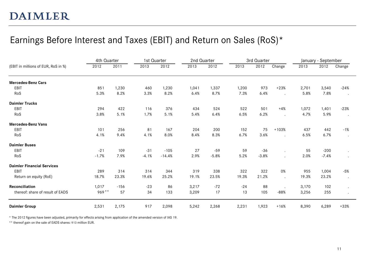### Earnings Before Interest and Taxes (EBIT) and Return on Sales (RoS)\*

|                                     | 4th Quarter |        | 1st Quarter |          | 2nd Quarter |         |       | 3rd Quarter |                      |       | January - September |                      |
|-------------------------------------|-------------|--------|-------------|----------|-------------|---------|-------|-------------|----------------------|-------|---------------------|----------------------|
| (EBIT in millions of EUR, RoS in %) | 2012        | 2011   | 2013        | 2012     | 2013        | 2012    | 2013  | 2012        | Change               | 2013  | 2012                | Change               |
| <b>Mercedes-Benz Cars</b>           |             |        |             |          |             |         |       |             |                      |       |                     |                      |
| EBIT                                | 851         | 1,230  | 460         | 1,230    | 1,041       | 1,337   | 1,200 | 973         | $+23%$               | 2,701 | 3,540               | $-24%$               |
| RoS                                 | 5.3%        | 8.2%   | 3.3%        | 8.2%     | 6.4%        | 8.7%    | 7.3%  | 6.4%        | $\cdot$              | 5.8%  | 7.8%                |                      |
| <b>Daimler Trucks</b>               |             |        |             |          |             |         |       |             |                      |       |                     |                      |
| EBIT                                | 294         | 422    | 116         | 376      | 434         | 524     | 522   | 501         | $+4%$                | 1,072 | 1,401               | $-23%$               |
| RoS                                 | 3.8%        | 5.1%   | 1.7%        | 5.1%     | 5.4%        | 6.4%    | 6.5%  | 6.2%        | $\ddot{\phantom{a}}$ | 4.7%  | 5.9%                |                      |
| <b>Mercedes-Benz Vans</b>           |             |        |             |          |             |         |       |             |                      |       |                     |                      |
| EBIT                                | 101         | 256    | 81          | 167      | 204         | 200     | 152   | 75          | $+103%$              | 437   | 442                 | $-1%$                |
| RoS                                 | 4.1%        | 9.4%   | 4.1%        | 8.0%     | 8.4%        | 8.3%    | 6.7%  | 3.6%        | $\ddot{\phantom{a}}$ | 6.5%  | 6.7%                | $\cdot$              |
| <b>Daimler Buses</b>                |             |        |             |          |             |         |       |             |                      |       |                     |                      |
| EBIT                                | $-21$       | 109    | $-31$       | $-105$   | 27          | $-59$   | 59    | $-36$       | $\cdot$              | 55    | $-200$              | $\ddot{\phantom{a}}$ |
| RoS                                 | $-1.7%$     | 7.9%   | $-4.1%$     | $-14.4%$ | 2.9%        | $-5.8%$ | 5.2%  | $-3.8%$     |                      | 2.0%  | $-7.4%$             |                      |
| <b>Daimler Financial Services</b>   |             |        |             |          |             |         |       |             |                      |       |                     |                      |
| EBIT                                | 289         | 314    | 314         | 344      | 319         | 338     | 322   | 322         | 0%                   | 955   | 1,004               | $-5%$                |
| Return on equity (RoE)              | 18.7%       | 23.3%  | 19.6%       | 25.2%    | 19.1%       | 23.5%   | 19.3% | 21.2%       | $\ddot{\phantom{a}}$ | 19.3% | 23.2%               |                      |
| Reconciliation                      | 1,017       | $-156$ | $-23$       | 86       | 3,217       | $-72$   | $-24$ | 88          |                      | 3,170 | 102                 |                      |
| thereof: share of result of EADS    | $969**$     | 57     | 34          | 133      | 3,209       | 17      | 13    | 105         | $-88%$               | 3,256 | 255                 |                      |
| <b>Daimler Group</b>                | 2,531       | 2,175  | 917         | 2,098    | 5,242       | 2,268   | 2,231 | 1,923       | $+16%$               | 8,390 | 6,289               | $+33%$               |

\* The 2012 figures have been adjusted, primarily for effects arising from application of the amended version of IAS 19.

\*\* thereof gain on the sale of EADS shares: 913 million EUR.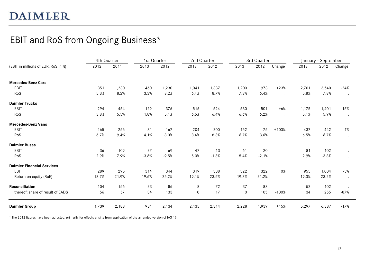### EBIT and RoS from Ongoing Business\*

|                                     | 4th Quarter |        | 1st Quarter |         | 2nd Quarter |         |       | 3rd Quarter |                      |       | January - September |                      |
|-------------------------------------|-------------|--------|-------------|---------|-------------|---------|-------|-------------|----------------------|-------|---------------------|----------------------|
| (EBIT in millions of EUR, RoS in %) | 2012        | 2011   | 2013        | 2012    | 2013        | 2012    | 2013  | 2012        | Change               | 2013  | 2012                | Change               |
| <b>Mercedes-Benz Cars</b>           |             |        |             |         |             |         |       |             |                      |       |                     |                      |
| EBIT                                | 851         | 1,230  | 460         | 1,230   | 1,041       | 1,337   | 1,200 | 973         | $+23%$               | 2,701 | 3,540               | $-24%$               |
| RoS                                 | 5.3%        | 8.2%   | 3.3%        | 8.2%    | 6.4%        | 8.7%    | 7.3%  | 6.4%        |                      | 5.8%  | 7.8%                | $\cdot$              |
| <b>Daimler Trucks</b>               |             |        |             |         |             |         |       |             |                      |       |                     |                      |
| EBIT                                | 294         | 454    | 129         | 376     | 516         | 524     | 530   | 501         | $+6%$                | 1,175 | 1,401               | $-16%$               |
| RoS                                 | 3.8%        | 5.5%   | 1.8%        | 5.1%    | 6.5%        | 6.4%    | 6.6%  | 6.2%        | $\ddot{\phantom{a}}$ | 5.1%  | 5.9%                | $\ddot{\phantom{a}}$ |
| <b>Mercedes-Benz Vans</b>           |             |        |             |         |             |         |       |             |                      |       |                     |                      |
| EBIT                                | 165         | 256    | 81          | 167     | 204         | 200     | 152   | 75          | $+103%$              | 437   | 442                 | $-1%$                |
| RoS                                 | 6.7%        | 9.4%   | 4.1%        | 8.0%    | 8.4%        | 8.3%    | 6.7%  | 3.6%        | $\sim$               | 6.5%  | 6.7%                | $\bullet$            |
| <b>Daimler Buses</b>                |             |        |             |         |             |         |       |             |                      |       |                     |                      |
| EBIT                                | 36          | 109    | $-27$       | $-69$   | 47          | $-13$   | 61    | $-20$       |                      | 81    | $-102$              | $\bullet$            |
| RoS                                 | 2.9%        | 7.9%   | $-3.6%$     | $-9.5%$ | 5.0%        | $-1.3%$ | 5.4%  | $-2.1%$     |                      | 2.9%  | $-3.8%$             | $\ddot{\phantom{0}}$ |
| <b>Daimler Financial Services</b>   |             |        |             |         |             |         |       |             |                      |       |                     |                      |
| EBIT                                | 289         | 295    | 314         | 344     | 319         | 338     | 322   | 322         | 0%                   | 955   | 1,004               | $-5%$                |
| Return on equity (RoE)              | 18.7%       | 21.9%  | 19.6%       | 25.2%   | 19.1%       | 23.5%   | 19.3% | 21.2%       | $\ddot{\phantom{a}}$ | 19.3% | 23.2%               | $\bullet$            |
| Reconciliation                      | 104         | $-156$ | $-23$       | 86      | 8           | $-72$   | $-37$ | 88          |                      | $-52$ | 102                 |                      |
| thereof: share of result of EADS    | 56          | 57     | 34          | 133     | 0           | 17      | 0     | 105         | $-100%$              | 34    | 255                 | $-87%$               |
| <b>Daimler Group</b>                | 1,739       | 2,188  | 934         | 2,134   | 2,135       | 2,314   | 2,228 | 1,939       | $+15%$               | 5,297 | 6,387               | $-17%$               |

\* The 2012 figures have been adjusted, primarily for effects arising from application of the amended version of IAS 19.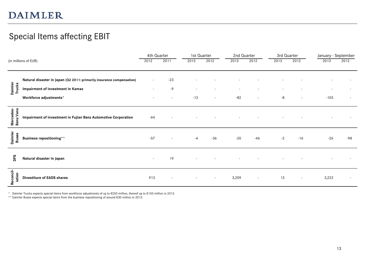### Special Items affecting EBIT

|                         |                                                                       |                          | 4th Quarter              | 1st Quarter |                          | 2nd Quarter |        | 3rd Quarter |        | January - September |       |
|-------------------------|-----------------------------------------------------------------------|--------------------------|--------------------------|-------------|--------------------------|-------------|--------|-------------|--------|---------------------|-------|
|                         | (in millions of EUR)                                                  | 2012                     | 2011                     | 2013        | 2012                     | 2013        | 2012   | 2013        | 2012   | 2013                | 2012  |
|                         |                                                                       |                          |                          |             |                          |             |        |             |        |                     |       |
|                         | Natural disaster in Japan (Q2 2011: primarily insurance compensation) | $\overline{\phantom{a}}$ | $-23$                    |             |                          |             |        |             |        |                     |       |
| Daimler<br>Trucks       | Impairment of investment in Kamaz                                     |                          | -9                       |             |                          |             |        |             |        |                     |       |
|                         | Workforce adjustments*                                                |                          | $\overline{\phantom{a}}$ | $-13$       | $\overline{\phantom{a}}$ | $-82$       |        | $-8$        |        | $-103$              |       |
| Mercedes-<br>Benz Vans  | Impairment of investment in Fujian Benz Automotive Corporation        | $-64$                    |                          |             |                          |             |        |             |        |                     |       |
| Daimler<br><b>Buses</b> | <b>Business repositioning**</b>                                       | $-57$                    | $\overline{\phantom{a}}$ | $-4$        | $-36$                    | $-20$       | $-46$  | $-2$        | $-16$  | $-26$               | $-98$ |
| ЪÉ                      | Natural disaster in Japan                                             |                          | 19                       |             |                          |             |        |             |        |                     |       |
| Reconcil-<br>iation     | <b>Divestiture of EADS shares</b>                                     | 913                      | $\overline{\phantom{a}}$ |             | $\sim$                   | 3,209       | $\sim$ | 13          | $\sim$ | 3,222               |       |

\* Daimler Trucks expects special items from workforce adjustments of up to €250 million, thereof up to €150 million in 2013.

\*\* Daimler Buses expects special items from the business repositioning of around €30 million in 2013.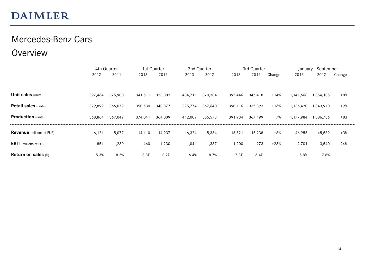#### Mercedes-Benz Cars

#### Overview

|                                  | 4th Quarter |         |         | 1st Quarter | 2nd Quarter |         |         | 3rd Quarter |        |           | January - September |        |  |
|----------------------------------|-------------|---------|---------|-------------|-------------|---------|---------|-------------|--------|-----------|---------------------|--------|--|
|                                  | 2012        | 2011    | 2013    | 2012        | 2013        | 2012    | 2013    | 2012        | Change | 2013      | 2012                | Change |  |
|                                  |             |         |         |             |             |         |         |             |        |           |                     |        |  |
| <b>Unit sales (units)</b>        | 397,464     | 375,900 | 341,511 | 338,303     | 404,711     | 370,384 | 395,446 | 345,418     | $+14%$ | 1,141,668 | 1,054,105           | $+8%$  |  |
| <b>Retail sales (units)</b>      | 379,899     | 366,079 | 350,530 | 340,877     | 395,774     | 367,640 | 390,116 | 335,393     | $+16%$ | 1,136,420 | 1,043,910           | +9%    |  |
| <b>Production</b> (units)        | 368,864     | 367,049 | 374,041 | 364,009     | 412,009     | 355,578 | 391,934 | 367,199     | $+7%$  | 1,177,984 | 1,086,786           | $+8%$  |  |
| <b>Revenue</b> (millions of EUR) | 16, 121     | 15,077  | 14,110  | 14,937      | 16,324      | 15,364  | 16,521  | 15,238      | $+8%$  | 46,955    | 45,539              | $+3%$  |  |
| <b>EBIT</b> (millions of EUR)    | 851         | 1,230   | 460     | 1,230       | 1,041       | 1,337   | 1,200   | 973         | $+23%$ | 2,701     | 3,540               | $-24%$ |  |
| <b>Return on sales (%)</b>       | 5.3%        | 8.2%    | 3.3%    | 8.2%        | 6.4%        | 8.7%    | 7.3%    | 6.4%        |        | 5.8%      | 7.8%                |        |  |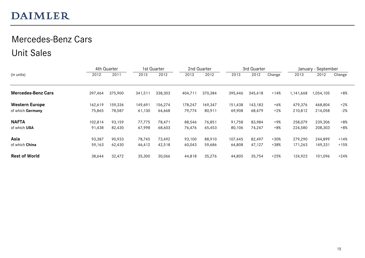### Mercedes-Benz Cars Unit Sales

|                           |         | 4th Quarter |         | 1st Quarter |         | 2nd Quarter |         | 3rd Quarter |        |           | January - September |        |
|---------------------------|---------|-------------|---------|-------------|---------|-------------|---------|-------------|--------|-----------|---------------------|--------|
| (in units)                | 2012    | 2011        | 2013    | 2012        | 2013    | 2012        | 2013    | 2012        | Change | 2013      | 2012                | Change |
| <b>Mercedes-Benz Cars</b> | 397,464 | 375,900     | 341,511 | 338,303     | 404,711 | 370,384     | 395,446 | 345,418     | $+14%$ | 1,141,668 | 1,054,105           | $+8%$  |
| <b>Western Europe</b>     | 162,619 | 159,336     | 149,691 | 156,274     | 178,247 | 169,347     | 151,438 | 143,183     | $+6%$  | 479,376   | 468,804             | $+2%$  |
| of which Germany          | 75,865  | 78,587      | 61,130  | 64,668      | 79,774  | 80,911      | 69,908  | 68,479      | $+2%$  | 210,812   | 214,058             | $-2%$  |
| <b>NAFTA</b>              | 102,814 | 93,159      | 77,775  | 78.471      | 88,546  | 76,851      | 91,758  | 83.984      | +9%    | 258,079   | 239,306             | $+8%$  |
| of which USA              | 91,438  | 82,430      | 67,998  | 68,603      | 76,476  | 65,453      | 80,106  | 74,247      | $+8%$  | 224,580   | 208,303             | $+8%$  |
| Asia                      | 93,387  | 90,933      | 78,745  | 73,492      | 93,100  | 88,910      | 107,445 | 82,497      | $+30%$ | 279,290   | 244,899             | +14%   |
| of which China            | 59,163  | 62,430      | 46,412  | 42,518      | 60,043  | 59,686      | 64,808  | 47,127      | $+38%$ | 171,263   | 149,331             | $+15%$ |
| <b>Rest of World</b>      | 38,644  | 32,472      | 35,300  | 30,066      | 44,818  | 35,276      | 44,805  | 35,754      | $+25%$ | 124,923   | 101,096             | $+24%$ |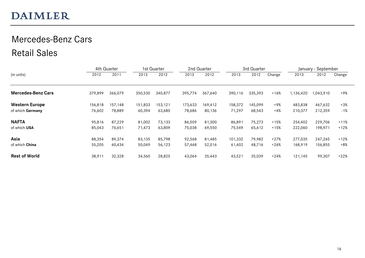### Mercedes-Benz Cars Retail Sales

|                           |         | 4th Quarter |         | 1st Quarter |         | 2nd Quarter |         | 3rd Quarter |        |           | January - September |        |
|---------------------------|---------|-------------|---------|-------------|---------|-------------|---------|-------------|--------|-----------|---------------------|--------|
| (in units)                | 2012    | 2011        | 2013    | 2012        | 2013    | 2012        | 2013    | 2012        | Change | 2013      | 2012                | Change |
| <b>Mercedes-Benz Cars</b> | 379,899 | 366,079     | 350,530 | 340,877     | 395,774 | 367,640     | 390,116 | 335,393     | $+16%$ | 1,136,420 | 1,043,910           | +9%    |
| <b>Western Europe</b>     | 156,818 | 157,148     | 151,833 | 153,121     | 173,633 | 169,412     | 158,372 | 145,099     | +9%    | 483,838   | 467,632             | $+3\%$ |
| of which Germany          | 76,602  | 78,889      | 60,394  | 63,680      | 78,686  | 80,136      | 71,297  | 68,543      | $+4%$  | 210,377   | 212,359             | -1%    |
| <b>NAFTA</b>              | 95,816  | 87,229      | 81,002  | 73,133      | 86,509  | 81,300      | 86,891  | 75,273      | $+15%$ | 254,402   | 229,706             | $+11%$ |
| of which USA              | 85,043  | 76,651      | 71,473  | 63,809      | 75,038  | 69,550      | 75,549  | 65,612      | $+15%$ | 222,060   | 198,971             | $+12%$ |
| Asia                      | 88,354  | 89,374      | 83,135  | 85,798      | 92,568  | 81,485      | 101,332 | 79,982      | $+27%$ | 277,035   | 247,265             | $+12%$ |
| of which China            | 55,205  | 60,434      | 50,049  | 56,123      | 57,468  | 52,016      | 61,402  | 48,716      | $+26%$ | 168,919   | 156,855             | $+8%$  |
| <b>Rest of World</b>      | 38,911  | 32,328      | 34,560  | 28,825      | 43,064  | 35,443      | 43,521  | 35,039      | $+24%$ | 121,145   | 99,307              | $+22%$ |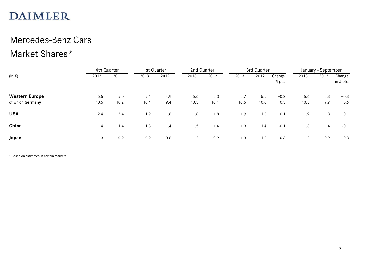### Mercedes-Benz Cars Market Shares\*

|                       |      | 4th Quarter |      | 1st Quarter | 2nd Quarter |      |      | 3rd Quarter |                     |      | January - September |                     |
|-----------------------|------|-------------|------|-------------|-------------|------|------|-------------|---------------------|------|---------------------|---------------------|
| (in %)                | 2012 | 2011        | 2013 | 2012        | 2013        | 2012 | 2013 | 2012        | Change<br>in % pts. | 2013 | 2012                | Change<br>in % pts. |
| <b>Western Europe</b> | 5.5  | 5.0         | 5.4  | 4.9         | 5.6         | 5.3  | 5.7  | 5.5         | $+0.2$              | 5.6  | 5.3                 | $+0.3$              |
| of which Germany      | 10.5 | 10.2        | 10.4 | 9.4         | 10.5        | 10.4 | 10.5 | 10.0        | $+0.5$              | 10.5 | 9.9                 | $+0.6$              |
| <b>USA</b>            | 2.4  | 2.4         | 1.9  | 1.8         | 1.8         | 1.8  | 1.9  | 1.8         | $+0.1$              | 1.9  | 1.8                 | $+0.1$              |
| China                 | 1.4  | 1.4         | 1.3  | 1.4         | 1.5         | 1.4  | 1.3  | 1.4         | $-0.1$              | 1.3  | 1.4                 | $-0.1$              |
| Japan                 | 1.3  | 0.9         | 0.9  | 0.8         | 1.2         | 0.9  | 1.3  | 1.0         | $+0.3$              | 1.2  | 0.9                 | $+0.3$              |

\* Based on estimates in certain markets.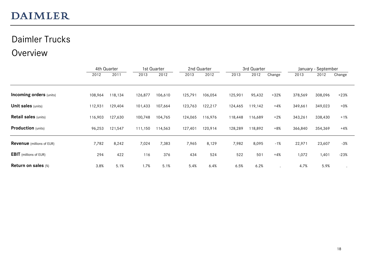### Daimler Trucks

#### Overview

|                                  | 4th Quarter |         |         | 1st Quarter |         | 2nd Quarter |         | 3rd Quarter |        |         | January - September |        |  |
|----------------------------------|-------------|---------|---------|-------------|---------|-------------|---------|-------------|--------|---------|---------------------|--------|--|
|                                  | 2012        | 2011    | 2013    | 2012        | 2013    | 2012        | 2013    | 2012        | Change | 2013    | 2012                | Change |  |
|                                  |             |         |         |             |         |             |         |             |        |         |                     |        |  |
| <b>Incoming orders</b> (units)   | 108,964     | 118,134 | 126,877 | 106,610     | 125,791 | 106,054     | 125,901 | 95,432      | $+32%$ | 378,569 | 308,096             | $+23%$ |  |
| <b>Unit sales (units)</b>        | 112,931     | 129,404 | 101,433 | 107,664     | 123,763 | 122,217     | 124,465 | 119,142     | $+4%$  | 349,661 | 349,023             | $+0\%$ |  |
| <b>Retail sales (units)</b>      | 116,903     | 127,630 | 100,748 | 104,765     | 124,065 | 116,976     | 118,448 | 116,689     | $+2%$  | 343,261 | 338,430             | $+1%$  |  |
| <b>Production</b> (units)        | 96,253      | 121,547 | 111,150 | 114,563     | 127,401 | 120,914     | 128,289 | 118,892     | $+8%$  | 366,840 | 354,369             | $+4%$  |  |
| <b>Revenue</b> (millions of EUR) | 7,782       | 8,242   | 7,024   | 7,383       | 7,965   | 8,129       | 7,982   | 8,095       | $-1%$  | 22,971  | 23,607              | $-3%$  |  |
| <b>EBIT</b> (millions of EUR)    | 294         | 422     | 116     | 376         | 434     | 524         | 522     | 501         | $+4%$  | 1,072   | 1,401               | $-23%$ |  |
| <b>Return on sales (%)</b>       | 3.8%        | 5.1%    | 1.7%    | 5.1%        | 5.4%    | 6.4%        | 6.5%    | 6.2%        |        | 4.7%    | 5.9%                |        |  |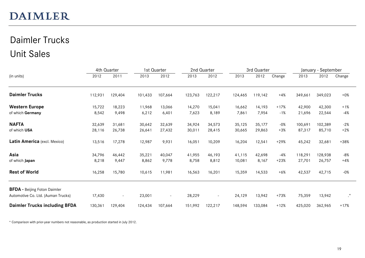# Daimler Trucks Unit Sales

|                                      |         | 4th Quarter |         | 1st Quarter              |         | 2nd Quarter              |         | 3rd Quarter |        |         | January - September |           |
|--------------------------------------|---------|-------------|---------|--------------------------|---------|--------------------------|---------|-------------|--------|---------|---------------------|-----------|
| (in units)                           | 2012    | 2011        | 2013    | 2012                     | 2013    | 2012                     | 2013    | 2012        | Change | 2013    | 2012                | Change    |
| <b>Daimler Trucks</b>                | 112,931 | 129,404     | 101,433 | 107,664                  | 123,763 | 122,217                  | 124,465 | 119,142     | $+4%$  | 349,661 | 349,023             | $+0\%$    |
| <b>Western Europe</b>                | 15,722  | 18,223      | 11,968  | 13,066                   | 14,270  | 15,041                   | 16,662  | 14,193      | $+17%$ | 42,900  | 42,300              | $+1%$     |
| of which Germany                     | 8,542   | 9,498       | 6,212   | 6,401                    | 7,623   | 8,189                    | 7,861   | 7,954       | $-1%$  | 21,696  | 22,544              | $-4%$     |
| <b>NAFTA</b>                         | 32,639  | 31,681      | 30,642  | 32,639                   | 34,924  | 34,573                   | 35,125  | 35,177      | $-0%$  | 100,691 | 102,389             | $-2%$     |
| of which USA                         | 28,116  | 26,738      | 26,641  | 27,432                   | 30,011  | 28,415                   | 30,665  | 29,863      | $+3%$  | 87,317  | 85,710              | $+2%$     |
| Latin America (excl. Mexico)         | 13,516  | 17,278      | 12,987  | 9,931                    | 16,051  | 10,209                   | 16,204  | 12,541      | $+29%$ | 45,242  | 32,681              | $+38%$    |
| Asia                                 | 34,796  | 46,442      | 35,221  | 40,047                   | 41,955  | 46,193                   | 41,115  | 42,698      | $-4%$  | 118,291 | 128,938             | $-8%$     |
| of which Japan                       | 8,218   | 9,447       | 8,862   | 9,778                    | 8,758   | 8,812                    | 10,081  | 8,167       | $+23%$ | 27,701  | 26,757              | $+4%$     |
| <b>Rest of World</b>                 | 16,258  | 15,780      | 10,615  | 11,981                   | 16,563  | 16,201                   | 15,359  | 14,533      | $+6%$  | 42,537  | 42,715              | $-0%$     |
| <b>BFDA</b> - Beijing Foton Daimler  |         |             |         |                          |         |                          |         |             |        |         |                     |           |
| Automotive Co. Ltd. (Auman Trucks)   | 17,430  | $-$         | 23,001  | $\overline{\phantom{a}}$ | 28,229  | $\overline{\phantom{a}}$ | 24,129  | 13,942      | $+73%$ | 75,359  | 13,942              | $\cdot^*$ |
| <b>Daimler Trucks including BFDA</b> | 130,361 | 129,404     | 124,434 | 107,664                  | 151,992 | 122,217                  | 148,594 | 133,084     | $+12%$ | 425,020 | 362,965             | $+17%$    |

\* Comparison with prior-year numbers not reasonable, as production started in July 2012.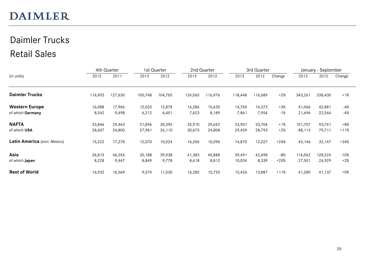# Daimler Trucks Retail Sales

|                              |         | 4th Quarter |         | 1st Quarter |         | 2nd Quarter |         | 3rd Quarter |        |         | January - September |        |
|------------------------------|---------|-------------|---------|-------------|---------|-------------|---------|-------------|--------|---------|---------------------|--------|
| (in units)                   | 2012    | 2011        | 2013    | 2012        | 2013    | 2012        | 2013    | 2012        | Change | 2013    | 2012                | Change |
| <b>Daimler Trucks</b>        | 116,903 | 127,630     | 100,748 | 104,765     | 124,065 | 116,976     | 118,448 | 116,689     | $+2%$  | 343,261 | 338,430             | $+1%$  |
| <b>Western Europe</b>        | 16,088  | 17,966      | 12,020  | 12,878      | 14,286  | 15,630      | 14,760  | 14,373      | $+3\%$ | 41,066  | 42,881              | -4%    |
| of which Germany             | 8,542   | 9,498       | 6,212   | 6,401       | 7,623   | 8,189       | 7,861   | 7,954       | $-1%$  | 21,696  | 22,544              | -4%    |
| <b>NAFTA</b>                 | 33,846  | 29,463      | 31,896  | 30,395      | 35,910  | 29,642      | 33,901  | 33,704      | $+1%$  | 101,707 | 93,741              | $+8%$  |
| of which USA                 | 28,607  | 24,800      | 27,981  | 26,110      | 30,673  | 24,808      | 29,459  | 28,793      | $+2%$  | 88,113  | 79,711              | $+11%$ |
| Latin America (excl. Mexico) | 15,222  | 17,278      | 12,070  | 10,024      | 16,206  | 10,096      | 14,870  | 12,027      | $+24%$ | 43,146  | 32,147              | $+34%$ |
| Asia                         | 34,815  | 46,354      | 35,188  | 39,938      | 41,383  | 45,888      | 39,491  | 42,698      | -8%    | 116,062 | 128,524             | -10%   |
| of which Japan               | 8,228   | 9,447       | 8,849   | 9,778       | 8,618   | 8,812       | 10,034  | 8,339       | $+20%$ | 27,501  | 26,929              | $+2%$  |
| <b>Rest of World</b>         | 16,932  | 16,569      | 9,574   | 11,530      | 16,280  | 15,720      | 15,426  | 13,887      | $+11%$ | 41,280  | 41,137              | $+0\%$ |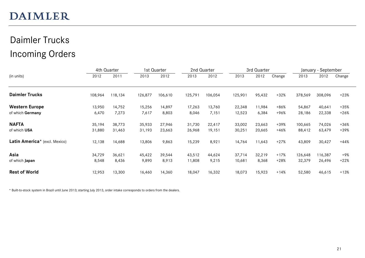# Daimler Trucks Incoming Orders

|                               |         | 4th Quarter |         | 1st Quarter |         | 2nd Quarter |         | 3rd Quarter |        |         | January - September |        |
|-------------------------------|---------|-------------|---------|-------------|---------|-------------|---------|-------------|--------|---------|---------------------|--------|
| (in units)                    | 2012    | 2011        | 2013    | 2012        | 2013    | 2012        | 2013    | 2012        | Change | 2013    | 2012                | Change |
| <b>Daimler Trucks</b>         | 108,964 | 118,134     | 126,877 | 106,610     | 125,791 | 106,054     | 125,901 | 95,432      | $+32%$ | 378,569 | 308,096             | $+23%$ |
| <b>Western Europe</b>         | 13,950  | 14,752      | 15,256  | 14,897      | 17,263  | 13,760      | 22,348  | 11,984      | +86%   | 54,867  | 40,641              | +35%   |
| of which Germany              | 6,470   | 7,273       | 7,617   | 8,803       | 8,046   | 7,151       | 12,523  | 6,384       | +96%   | 28,186  | 22,338              | $+26%$ |
| <b>NAFTA</b>                  | 35,194  | 38,773      | 35,933  | 27,946      | 31,730  | 22,417      | 33,002  | 23,663      | +39%   | 100,665 | 74,026              | +36%   |
| of which USA                  | 31,880  | 31,463      | 31,193  | 23,663      | 26,968  | 19,151      | 30,251  | 20,665      | $+46%$ | 88,412  | 63,479              | +39%   |
| Latin America* (excl. Mexico) | 12,138  | 14,688      | 13,806  | 9,863       | 15,239  | 8,921       | 14,764  | 11,643      | $+27%$ | 43,809  | 30,427              | $+44%$ |
| Asia                          | 34,729  | 36,621      | 45,422  | 39,544      | 43,512  | 44,624      | 37,714  | 32,219      | $+17%$ | 126,648 | 116,387             | +9%    |
| of which Japan                | 8,548   | 8,436       | 9,890   | 8,913       | 11,808  | 9,215       | 10,681  | 8,368       | $+28%$ | 32,379  | 26,496              | $+22%$ |
| <b>Rest of World</b>          | 12,953  | 13,300      | 16,460  | 14,360      | 18,047  | 16,332      | 18,073  | 15,923      | $+14%$ | 52,580  | 46,615              | $+13%$ |

\* Built-to-stock system in Brazil until June 2013; starting July 2013, order intake corresponds to orders from the dealers.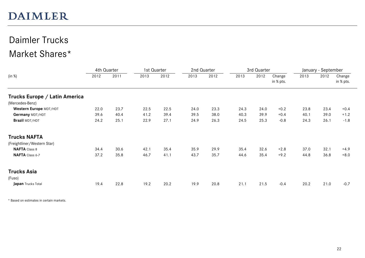### Daimler Trucks Market Shares\*

|                               | 4th Quarter |      | 1st Quarter |      | 2nd Quarter |      |      | 3rd Quarter |                     |      | January - September |                     |
|-------------------------------|-------------|------|-------------|------|-------------|------|------|-------------|---------------------|------|---------------------|---------------------|
| (in %)                        | 2012        | 2011 | 2013        | 2012 | 2013        | 2012 | 2013 | 2012        | Change<br>in % pts. | 2013 | 2012                | Change<br>in % pts. |
| Trucks Europe / Latin America |             |      |             |      |             |      |      |             |                     |      |                     |                     |
| (Mercedes-Benz)               |             |      |             |      |             |      |      |             |                     |      |                     |                     |
| Western Europe MDT/HDT        | 22.0        | 23.7 | 22.5        | 22.5 | 24.0        | 23.3 | 24.3 | 24.0        | $+0.2$              | 23.8 | 23.4                | $+0.4$              |
| Germany MDT/HDT               | 39.6        | 40.4 | 41.2        | 39.4 | 39.5        | 38.0 | 40.3 | 39.9        | $+0.4$              | 40.1 | 39.0                | $+1.2$              |
| Brazil MDT/HDT                | 24.2        | 25.1 | 22.9        | 27.1 | 24.9        | 26.3 | 24.5 | 25.3        | $-0.8$              | 24.3 | 26.1                | $-1.8$              |
| <b>Trucks NAFTA</b>           |             |      |             |      |             |      |      |             |                     |      |                     |                     |
| (Freightliner/Western Star)   |             |      |             |      |             |      |      |             |                     |      |                     |                     |
| <b>NAFTA</b> Class 8          | 34.4        | 30.6 | 42.1        | 35.4 | 35.9        | 29.9 | 35.4 | 32.6        | $+2.8$              | 37.0 | 32.1                | $+4.9$              |
| NAFTA Class 6-7               | 37.2        | 35.8 | 46.7        | 41.1 | 43.7        | 35.7 | 44.6 | 35.4        | $+9.2$              | 44.8 | 36.8                | $+8.0$              |
| <b>Trucks Asia</b>            |             |      |             |      |             |      |      |             |                     |      |                     |                     |
| (Fuso)                        |             |      |             |      |             |      |      |             |                     |      |                     |                     |
| Japan Trucks Total            | 19.4        | 22.8 | 19.2        | 20.2 | 19.9        | 20.8 | 21.1 | 21.5        | $-0.4$              | 20.2 | 21.0                | $-0.7$              |

\* Based on estimates in certain markets.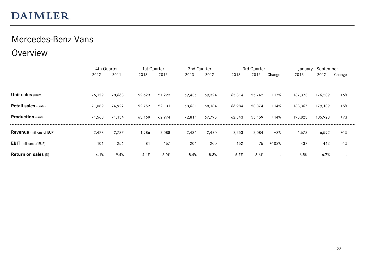#### Mercedes-Benz Vans

#### Overview

|                                  | 4th Quarter |        | 1st Quarter |        | 2nd Quarter |        |        | 3rd Quarter |         |         | January - September |        |
|----------------------------------|-------------|--------|-------------|--------|-------------|--------|--------|-------------|---------|---------|---------------------|--------|
|                                  | 2012        | 2011   | 2013        | 2012   | 2013        | 2012   | 2013   | 2012        | Change  | 2013    | 2012                | Change |
|                                  |             |        |             |        |             |        |        |             |         |         |                     |        |
| <b>Unit sales (units)</b>        | 76,129      | 78,668 | 52,623      | 51,223 | 69,436      | 69,324 | 65,314 | 55,742      | $+17%$  | 187,373 | 176,289             | $+6%$  |
| <b>Retail sales (units)</b>      | 71,089      | 74,922 | 52,752      | 52,131 | 68,631      | 68,184 | 66,984 | 58,874      | $+14%$  | 188,367 | 179,189             | $+5%$  |
| <b>Production</b> (units)        | 71,568      | 71,154 | 63,169      | 62,974 | 72,811      | 67,795 | 62,843 | 55,159      | $+14%$  | 198,823 | 185,928             | $+7%$  |
| <b>Revenue</b> (millions of EUR) | 2,478       | 2,737  | 1,986       | 2,088  | 2,434       | 2,420  | 2,253  | 2,084       | $+8%$   | 6,673   | 6,592               | $+1%$  |
| <b>EBIT</b> (millions of EUR)    | 101         | 256    | 81          | 167    | 204         | 200    | 152    | 75          | $+103%$ | 437     | 442                 | $-1%$  |
| Return on sales (%)              | 4.1%        | 9.4%   | 4.1%        | 8.0%   | 8.4%        | 8.3%   | 6.7%   | 3.6%        |         | 6.5%    | 6.7%                |        |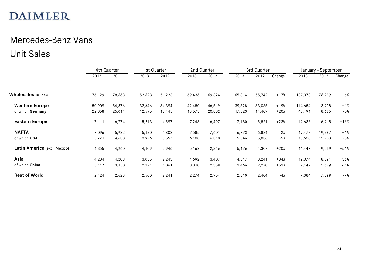# Mercedes-Benz Vans Unit Sales

|                              | 4th Quarter |        | 1st Quarter |        | 2nd Quarter |        |        | 3rd Quarter |        |         | January - September |        |
|------------------------------|-------------|--------|-------------|--------|-------------|--------|--------|-------------|--------|---------|---------------------|--------|
|                              | 2012        | 2011   | 2013        | 2012   | 2013        | 2012   | 2013   | 2012        | Change | 2013    | 2012                | Change |
| <b>Wholesales</b> (in units) | 76,129      | 78,668 | 52,623      | 51,223 | 69,436      | 69,324 | 65,314 | 55,742      | $+17%$ | 187,373 | 176,289             | $+6%$  |
| <b>Western Europe</b>        | 50,909      | 54,876 | 32,646      | 34,394 | 42,480      | 46,519 | 39,528 | 33,085      | $+19%$ | 114,654 | 113,998             | $+1%$  |
| of which Germany             | 22,358      | 25,014 | 12,595      | 13,445 | 18,573      | 20,832 | 17,323 | 14,409      | $+20%$ | 48,491  | 48,686              | -0%    |
| <b>Eastern Europe</b>        | 7,111       | 6,774  | 5,213       | 4,597  | 7,243       | 6,497  | 7,180  | 5,821       | $+23%$ | 19,636  | 16,915              | $+16%$ |
| <b>NAFTA</b>                 | 7,096       | 5,922  | 5,120       | 4,802  | 7,585       | 7,601  | 6,773  | 6,884       | $-2%$  | 19,478  | 19,287              | $+1%$  |
| of which USA                 | 5,771       | 4,633  | 3,976       | 3,557  | 6,108       | 6,310  | 5,546  | 5,836       | $-5%$  | 15,630  | 15,703              | -0%    |
| Latin America (excl. Mexico) | 4,355       | 4,260  | 4,109       | 2,946  | 5,162       | 2,346  | 5,176  | 4,307       | $+20%$ | 14,447  | 9,599               | $+51%$ |
| Asia                         | 4,234       | 4,208  | 3,035       | 2,243  | 4,692       | 3,407  | 4,347  | 3,241       | $+34%$ | 12,074  | 8,891               | +36%   |
| of which China               | 3,147       | 3,150  | 2,371       | 1,061  | 3,310       | 2,358  | 3,466  | 2,270       | $+53%$ | 9,147   | 5,689               | $+61%$ |
| <b>Rest of World</b>         | 2,424       | 2,628  | 2,500       | 2,241  | 2,274       | 2,954  | 2,310  | 2,404       | $-4%$  | 7,084   | 7,599               | $-7%$  |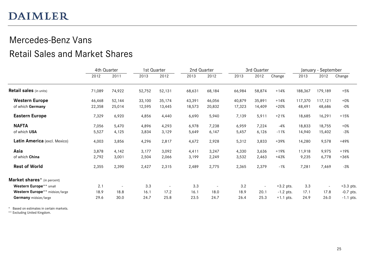# Mercedes-Benz Vans

### Retail Sales and Market Shares

|                                | 4th Quarter |                          | 1st Quarter |                          | 2nd Quarter |                          |        | 3rd Quarter              |             | January - September |                          |             |
|--------------------------------|-------------|--------------------------|-------------|--------------------------|-------------|--------------------------|--------|--------------------------|-------------|---------------------|--------------------------|-------------|
|                                | 2012        | 2011                     | 2013        | 2012                     | 2013        | 2012                     | 2013   | 2012                     | Change      | 2013                | 2012                     | Change      |
| <b>Retail sales</b> (in units) | 71,089      | 74,922                   | 52,752      | 52,131                   | 68,631      | 68,184                   | 66,984 | 58,874                   | $+14%$      | 188,367             | 179,189                  | $+5%$       |
| <b>Western Europe</b>          | 46,468      | 52,144                   | 33,100      | 35,174                   | 43,391      | 46,056                   | 40,879 | 35,891                   | $+14%$      | 117,370             | 117,121                  | $+0\%$      |
| of which Germany               | 22,358      | 25,014                   | 12,595      | 13,445                   | 18,573      | 20,832                   | 17,323 | 14,409                   | $+20%$      | 48,491              | 48,686                   | $-0\%$      |
| <b>Eastern Europe</b>          | 7,329       | 6,920                    | 4,856       | 4,440                    | 6,690       | 5,940                    | 7,139  | 5,911                    | $+21%$      | 18,685              | 16,291                   | $+15%$      |
| <b>NAFTA</b>                   | 7,056       | 5,470                    | 4,896       | 4,293                    | 6,978       | 7,238                    | 6,959  | 7,224                    | $-4%$       | 18,833              | 18,755                   | $+0\%$      |
| of which USA                   | 5,527       | 4,125                    | 3,834       | 3,129                    | 5,649       | 6,147                    | 5,457  | 6,126                    | $-11%$      | 14,940              | 15,402                   | $-3%$       |
| Latin America (excl. Mexico)   | 4,003       | 3,856                    | 4,296       | 2,817                    | 4,672       | 2,928                    | 5,312  | 3,833                    | $+39%$      | 14,280              | 9,578                    | $+49%$      |
| Asia                           | 3,878       | 4,142                    | 3,177       | 3,092                    | 4,411       | 3,247                    | 4,330  | 3,636                    | $+19%$      | 11,918              | 9,975                    | $+19%$      |
| of which China                 | 2,792       | 3,001                    | 2,504       | 2,066                    | 3,199       | 2,249                    | 3,532  | 2,463                    | $+43%$      | 9,235               | 6,778                    | $+36%$      |
| <b>Rest of World</b>           | 2,355       | 2,390                    | 2,427       | 2,315                    | 2,489       | 2,775                    | 2,365  | 2,379                    | $-1%$       | 7,281               | 7,469                    | $-3%$       |
| Market shares* (in percent)    |             |                          |             |                          |             |                          |        |                          |             |                     |                          |             |
| Western Europe** small         | 2.1         | $\overline{\phantom{a}}$ | 3.3         | $\overline{\phantom{0}}$ | 3.3         | $\overline{\phantom{a}}$ | 3.2    | $\overline{\phantom{a}}$ | $+3.2$ pts. | 3.3                 | $\overline{\phantom{a}}$ | $+3.3$ pts. |
| Western Europe** midsize/large | 18.9        | 18.8                     | 16.1        | 17.2                     | 16.1        | 18.0                     | 18.9   | 20.1                     | $-1.2$ pts. | 17.1                | 17.8                     | $-0.7$ pts. |
| Germany midsize/large          | 29.6        | 30.0                     | 24.7        | 25.8                     | 23.5        | 24.7                     | 26.4   | 25.3                     | $+1.1$ pts. | 24.9                | 26.0                     | $-1.1$ pts. |

\* Based on estimates in certain markets.

\*\* Excluding United Kingdom.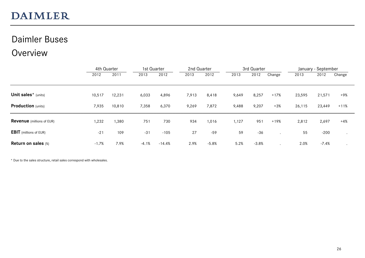#### Daimler Buses

#### Overview

|                                  |         | 4th Quarter |         | 1st Quarter |       | 2nd Quarter |       | 3rd Quarter |        |        | January - September |        |  |
|----------------------------------|---------|-------------|---------|-------------|-------|-------------|-------|-------------|--------|--------|---------------------|--------|--|
|                                  | 2012    | 2011        | 2013    | 2012        | 2013  | 2012        | 2013  | 2012        | Change | 2013   | 2012                | Change |  |
|                                  |         |             |         |             |       |             |       |             |        |        |                     |        |  |
| Unit sales* (units)              | 10,517  | 12,231      | 6,033   | 4,896       | 7,913 | 8,418       | 9,649 | 8,257       | $+17%$ | 23,595 | 21,571              | +9%    |  |
| <b>Production</b> (units)        | 7,935   | 10,810      | 7,358   | 6,370       | 9,269 | 7,872       | 9,488 | 9,207       | $+3%$  | 26,115 | 23,449              | $+11%$ |  |
| <b>Revenue</b> (millions of EUR) | 1,232   | 1,380       | 751     | 730         | 934   | 1,016       | 1,127 | 951         | $+19%$ | 2,812  | 2,697               | $+4%$  |  |
| <b>EBIT</b> (millions of EUR)    | $-21$   | 109         | $-31$   | $-105$      | 27    | $-59$       | 59    | $-36$       |        | 55     | $-200$              |        |  |
| <b>Return on sales (%)</b>       | $-1.7%$ | 7.9%        | $-4.1%$ | $-14.4%$    | 2.9%  | $-5.8%$     | 5.2%  | $-3.8%$     |        | 2.0%   | $-7.4%$             |        |  |

\* Due to the sales structure, retail sales correspond with wholesales.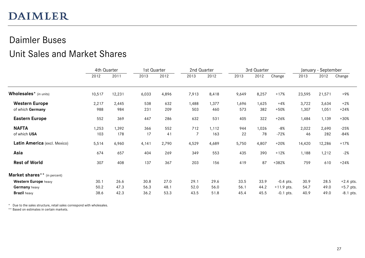### Daimler Buses Unit Sales and Market Shares

|                                          | 4th Quarter |        | 1st Quarter |       | 2nd Quarter<br>3rd Quarter |       |       |       | January - September |        |        |             |
|------------------------------------------|-------------|--------|-------------|-------|----------------------------|-------|-------|-------|---------------------|--------|--------|-------------|
|                                          | 2012        | 2011   | 2013        | 2012  | 2013                       | 2012  | 2013  | 2012  | Change              | 2013   | 2012   | Change      |
| Wholesales* (in units)                   | 10,517      | 12,231 | 6,033       | 4,896 | 7,913                      | 8,418 | 9,649 | 8,257 | $+17%$              | 23,595 | 21,571 | +9%         |
| <b>Western Europe</b>                    | 2,217       | 2,445  | 538         | 632   | 1,488                      | 1,377 | 1,696 | 1,625 | $+4%$               | 3,722  | 3,634  | $+2%$       |
| of which Germany                         | 988         | 984    | 231         | 209   | 503                        | 460   | 573   | 382   | $+50%$              | 1,307  | 1,051  | $+24%$      |
| <b>Eastern Europe</b>                    | 552         | 369    | 447         | 286   | 632                        | 531   | 405   | 322   | $+26%$              | 1,484  | 1,139  | $+30%$      |
| <b>NAFTA</b>                             | 1,253       | 1,392  | 366         | 552   | 712                        | 1,112 | 944   | 1,026 | $-8%$               | 2,022  | 2,690  | $-25%$      |
| of which USA                             | 103         | 178    | 17          | 41    | 7                          | 163   | 22    | 78    | $-72%$              | 46     | 282    | $-84%$      |
| Latin America (excl. Mexico)             | 5,514       | 6,960  | 4,141       | 2,790 | 4,529                      | 4,689 | 5,750 | 4,807 | $+20%$              | 14,420 | 12,286 | $+17%$      |
| Asia                                     | 674         | 657    | 404         | 269   | 349                        | 553   | 435   | 390   | $+12%$              | 1,188  | 1,212  | $-2%$       |
| <b>Rest of World</b>                     | 307         | 408    | 137         | 367   | 203                        | 156   | 419   | 87    | $+382%$             | 759    | 610    | $+24%$      |
| Market shares <sup>**</sup> (in percent) |             |        |             |       |                            |       |       |       |                     |        |        |             |
| Western Europe heavy                     | 30.1        | 26.6   | 30.8        | 27.0  | 29.1                       | 29.6  | 33.5  | 33.9  | $-0.4$ pts.         | 30.9   | 28.5   | $+2.4$ pts. |
| <b>Germany</b> heavy                     | 50.2        | 47.3   | 56.3        | 48.1  | 52.0                       | 56.0  | 56.1  | 44.2  | $+11.9$ pts.        | 54.7   | 49.0   | $+5.7$ pts. |
| <b>Brazil</b> heavy                      | 38.6        | 42.3   | 36.2        | 53.3  | 43.5                       | 51.8  | 45.4  | 45.5  | $-0.1$ pts.         | 40.9   | 49.0   | $-8.1$ pts. |

\* Due to the sales structure, retail sales correspond with wholesales.

\*\* Based on estimates in certain markets.